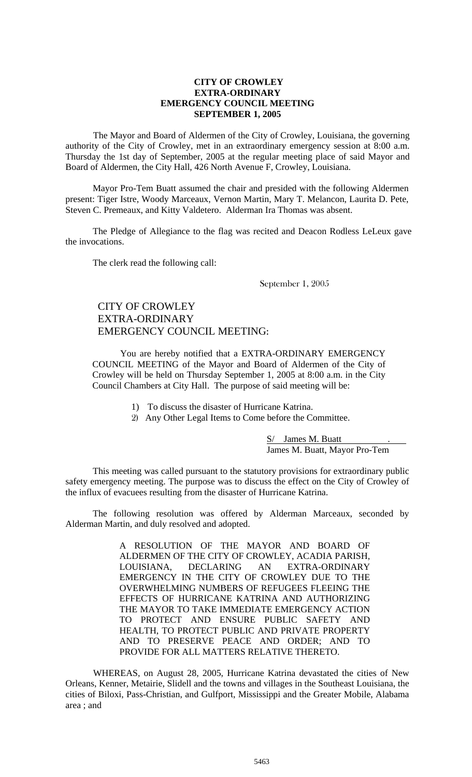#### **CITY OF CROWLEY EXTRA-ORDINARY EMERGENCY COUNCIL MEETING SEPTEMBER 1, 2005**

The Mayor and Board of Aldermen of the City of Crowley, Louisiana, the governing authority of the City of Crowley, met in an extraordinary emergency session at 8:00 a.m. Thursday the 1st day of September, 2005 at the regular meeting place of said Mayor and Board of Aldermen, the City Hall, 426 North Avenue F, Crowley, Louisiana.

Mayor Pro-Tem Buatt assumed the chair and presided with the following Aldermen present: Tiger Istre, Woody Marceaux, Vernon Martin, Mary T. Melancon, Laurita D. Pete, Steven C. Premeaux, and Kitty Valdetero. Alderman Ira Thomas was absent.

The Pledge of Allegiance to the flag was recited and Deacon Rodless LeLeux gave the invocations.

The clerk read the following call:

September 1, 2005

# CITY OF CROWLEY EXTRA-ORDINARY EMERGENCY COUNCIL MEETING:

 You are hereby notified that a EXTRA-ORDINARY EMERGENCY COUNCIL MEETING of the Mayor and Board of Aldermen of the City of Crowley will be held on Thursday September 1, 2005 at 8:00 a.m. in the City Council Chambers at City Hall. The purpose of said meeting will be:

- 1) To discuss the disaster of Hurricane Katrina.
- 2) Any Other Legal Items to Come before the Committee.

S/ James M. Buatt James M. Buatt, Mayor Pro-Tem

This meeting was called pursuant to the statutory provisions for extraordinary public safety emergency meeting. The purpose was to discuss the effect on the City of Crowley of the influx of evacuees resulting from the disaster of Hurricane Katrina.

 The following resolution was offered by Alderman Marceaux, seconded by Alderman Martin, and duly resolved and adopted.

> A RESOLUTION OF THE MAYOR AND BOARD OF ALDERMEN OF THE CITY OF CROWLEY, ACADIA PARISH, LOUISIANA, DECLARING AN EXTRA-ORDINARY EMERGENCY IN THE CITY OF CROWLEY DUE TO THE OVERWHELMING NUMBERS OF REFUGEES FLEEING THE EFFECTS OF HURRICANE KATRINA AND AUTHORIZING THE MAYOR TO TAKE IMMEDIATE EMERGENCY ACTION TO PROTECT AND ENSURE PUBLIC SAFETY AND HEALTH, TO PROTECT PUBLIC AND PRIVATE PROPERTY AND TO PRESERVE PEACE AND ORDER; AND TO PROVIDE FOR ALL MATTERS RELATIVE THERETO.

WHEREAS, on August 28, 2005, Hurricane Katrina devastated the cities of New Orleans, Kenner, Metairie, Slidell and the towns and villages in the Southeast Louisiana, the cities of Biloxi, Pass-Christian, and Gulfport, Mississippi and the Greater Mobile, Alabama area ; and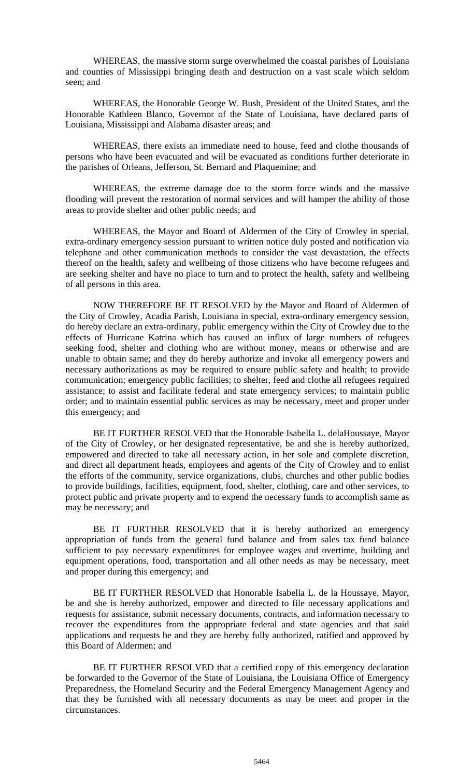WHEREAS, the massive storm surge overwhelmed the coastal parishes of Louisiana and counties of Mississippi bringing death and destruction on a vast scale which seldom seen; and

WHEREAS, the Honorable George W. Bush, President of the United States, and the Honorable Kathleen Blanco, Governor of the State of Louisiana, have declared parts of Louisiana, Mississippi and Alabama disaster areas; and

WHEREAS, there exists an immediate need to house, feed and clothe thousands of persons who have been evacuated and will be evacuated as conditions further deteriorate in the parishes of Orleans, Jefferson, St. Bernard and Plaquemine; and

WHEREAS, the extreme damage due to the storm force winds and the massive flooding will prevent the restoration of normal services and will hamper the ability of those areas to provide shelter and other public needs; and

WHEREAS, the Mayor and Board of Aldermen of the City of Crowley in special, extra-ordinary emergency session pursuant to written notice duly posted and notification via telephone and other communication methods to consider the vast devastation, the effects thereof on the health, safety and wellbeing of those citizens who have become refugees and are seeking shelter and have no place to turn and to protect the health, safety and wellbeing of all persons in this area.

NOW THEREFORE BE IT RESOLVED by the Mayor and Board of Aldermen of the City of Crowley, Acadia Parish, Louisiana in special, extra-ordinary emergency session, do hereby declare an extra-ordinary, public emergency within the City of Crowley due to the effects of Hurricane Katrina which has caused an influx of large numbers of refugees seeking food, shelter and clothing who are without money, means or otherwise and are unable to obtain same; and they do hereby authorize and invoke all emergency powers and necessary authorizations as may be required to ensure public safety and health; to provide communication; emergency public facilities; to shelter, feed and clothe all refugees required assistance; to assist and facilitate federal and state emergency services; to maintain public order; and to maintain essential public services as may be necessary, meet and proper under this emergency; and

BE IT FURTHER RESOLVED that the Honorable Isabella L. delaHoussaye, Mayor of the City of Crowley, or her designated representative, be and she is hereby authorized, empowered and directed to take all necessary action, in her sole and complete discretion, and direct all department heads, employees and agents of the City of Crowley and to enlist the efforts of the community, service organizations, clubs, churches and other public bodies to provide buildings, facilities, equipment, food, shelter, clothing, care and other services, to protect public and private property and to expend the necessary funds to accomplish same as may be necessary; and

BE IT FURTHER RESOLVED that it is hereby authorized an emergency appropriation of funds from the general fund balance and from sales tax fund balance sufficient to pay necessary expenditures for employee wages and overtime, building and equipment operations, food, transportation and all other needs as may be necessary, meet and proper during this emergency; and

BE IT FURTHER RESOLVED that Honorable Isabella L. de la Houssaye, Mayor, be and she is hereby authorized, empower and directed to file necessary applications and requests for assistance, submit necessary documents, contracts, and information necessary to recover the expenditures from the appropriate federal and state agencies and that said applications and requests be and they are hereby fully authorized, ratified and approved by this Board of Aldermen; and

BE IT FURTHER RESOLVED that a certified copy of this emergency declaration be forwarded to the Governor of the State of Louisiana, the Louisiana Office of Emergency Preparedness, the Homeland Security and the Federal Emergency Management Agency and that they be furnished with all necessary documents as may be meet and proper in the circumstances.